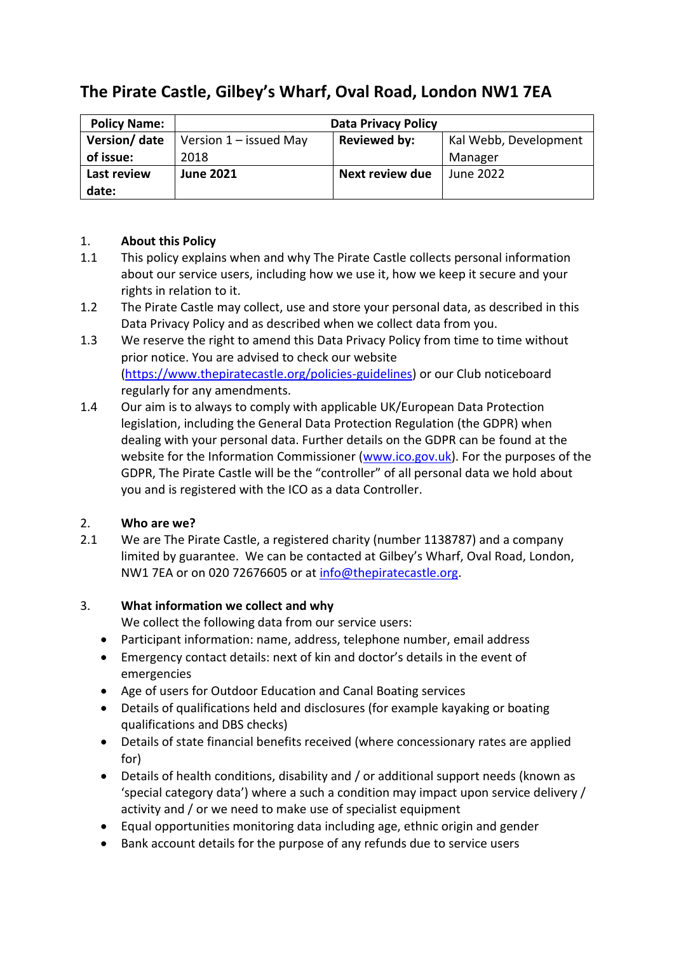# **The Pirate Castle, Gilbey's Wharf, Oval Road, London NW1 7EA**

| <b>Policy Name:</b> | <b>Data Privacy Policy</b> |                        |                       |
|---------------------|----------------------------|------------------------|-----------------------|
| Version/ date       | Version $1$ – issued May   | <b>Reviewed by:</b>    | Kal Webb, Development |
| of issue:           | 2018                       |                        | Manager               |
| Last review         | <b>June 2021</b>           | <b>Next review due</b> | <b>June 2022</b>      |
| date:               |                            |                        |                       |

## 1. **About this Policy**

- 1.1 This policy explains when and why The Pirate Castle collects personal information about our service users, including how we use it, how we keep it secure and your rights in relation to it.
- 1.2 The Pirate Castle may collect, use and store your personal data, as described in this Data Privacy Policy and as described when we collect data from you.
- 1.3 We reserve the right to amend this Data Privacy Policy from time to time without prior notice. You are advised to check our website [\(https://www.thepiratecastle.org/policies-guidelines\)](https://www.thepiratecastle.org/policies-guidelines) or our Club noticeboard regularly for any amendments.
- 1.4 Our aim is to always to comply with applicable UK/European Data Protection legislation, including the General Data Protection Regulation (the GDPR) when dealing with your personal data. Further details on the GDPR can be found at the website for the Information Commissioner [\(www.ico.gov.uk\)](http://www.ico.gov.uk/). For the purposes of the GDPR, The Pirate Castle will be the "controller" of all personal data we hold about you and is registered with the ICO as a data Controller.

## 2. **Who are we?**

2.1 We are The Pirate Castle, a registered charity (number 1138787) and a company limited by guarantee. We can be contacted at Gilbey's Wharf, Oval Road, London, NW1 7EA or on 020 72676605 or at [info@thepiratecastle.org.](mailto:info@thepiratecastle.org)

## 3. **What information we collect and why**

We collect the following data from our service users:

- Participant information: name, address, telephone number, email address
- Emergency contact details: next of kin and doctor's details in the event of emergencies
- Age of users for Outdoor Education and Canal Boating services
- Details of qualifications held and disclosures (for example kayaking or boating qualifications and DBS checks)
- Details of state financial benefits received (where concessionary rates are applied for)
- Details of health conditions, disability and / or additional support needs (known as 'special category data') where a such a condition may impact upon service delivery / activity and / or we need to make use of specialist equipment
- Equal opportunities monitoring data including age, ethnic origin and gender
- Bank account details for the purpose of any refunds due to service users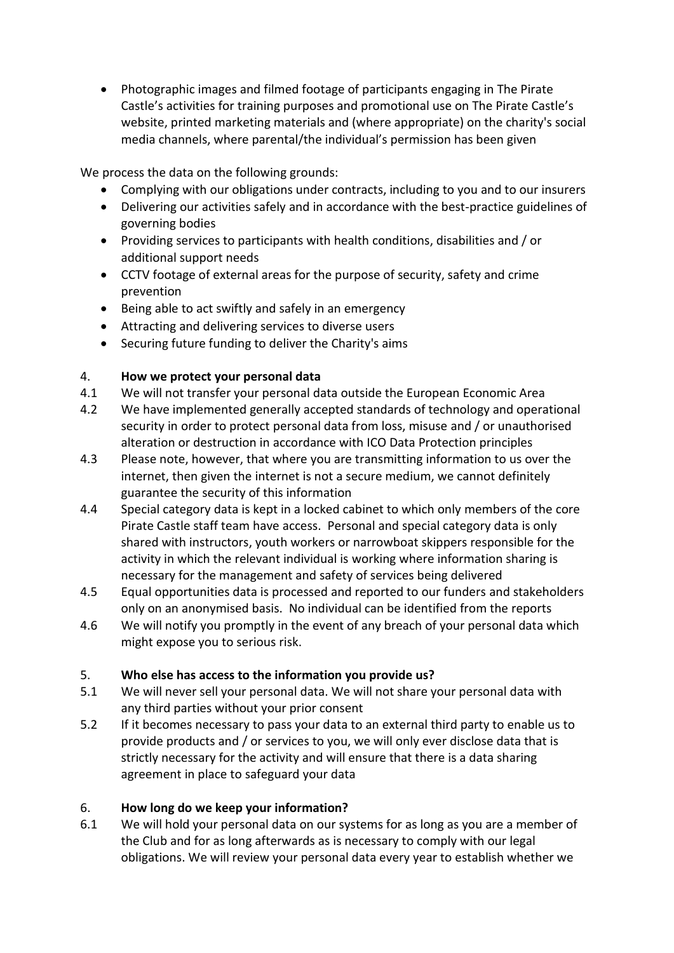• Photographic images and filmed footage of participants engaging in The Pirate Castle's activities for training purposes and promotional use on The Pirate Castle's website, printed marketing materials and (where appropriate) on the charity's social media channels, where parental/the individual's permission has been given

We process the data on the following grounds:

- Complying with our obligations under contracts, including to you and to our insurers
- Delivering our activities safely and in accordance with the best-practice guidelines of governing bodies
- Providing services to participants with health conditions, disabilities and / or additional support needs
- CCTV footage of external areas for the purpose of security, safety and crime prevention
- Being able to act swiftly and safely in an emergency
- Attracting and delivering services to diverse users
- Securing future funding to deliver the Charity's aims

## 4. **How we protect your personal data**

- 4.1 We will not transfer your personal data outside the European Economic Area
- 4.2 We have implemented generally accepted standards of technology and operational security in order to protect personal data from loss, misuse and / or unauthorised alteration or destruction in accordance with ICO Data Protection principles
- 4.3 Please note, however, that where you are transmitting information to us over the internet, then given the internet is not a secure medium, we cannot definitely guarantee the security of this information
- 4.4 Special category data is kept in a locked cabinet to which only members of the core Pirate Castle staff team have access. Personal and special category data is only shared with instructors, youth workers or narrowboat skippers responsible for the activity in which the relevant individual is working where information sharing is necessary for the management and safety of services being delivered
- 4.5 Equal opportunities data is processed and reported to our funders and stakeholders only on an anonymised basis. No individual can be identified from the reports
- 4.6 We will notify you promptly in the event of any breach of your personal data which might expose you to serious risk.

## 5. **Who else has access to the information you provide us?**

- 5.1 We will never sell your personal data. We will not share your personal data with any third parties without your prior consent
- 5.2 If it becomes necessary to pass your data to an external third party to enable us to provide products and / or services to you, we will only ever disclose data that is strictly necessary for the activity and will ensure that there is a data sharing agreement in place to safeguard your data

## 6. **How long do we keep your information?**

6.1 We will hold your personal data on our systems for as long as you are a member of the Club and for as long afterwards as is necessary to comply with our legal obligations. We will review your personal data every year to establish whether we